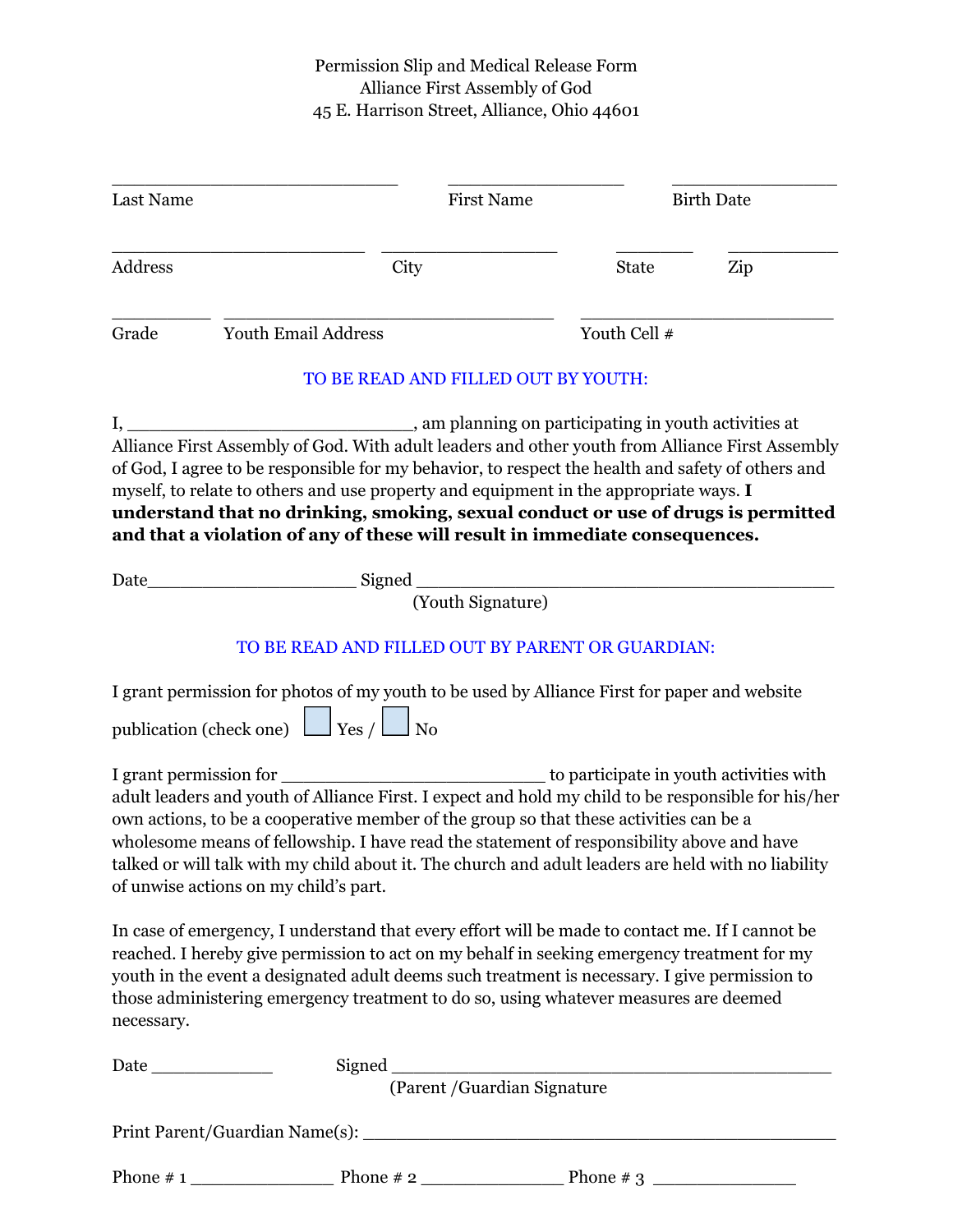## Permission Slip and Medical Release Form Alliance First Assembly of God 45 E. Harrison Street, Alliance, Ohio 44601

| Last Name                 |                                                                                                                                                                                                                                                                                                                                                                                                                                                                      | <b>First Name</b>                                                    |              | <b>Birth Date</b>                       |  |
|---------------------------|----------------------------------------------------------------------------------------------------------------------------------------------------------------------------------------------------------------------------------------------------------------------------------------------------------------------------------------------------------------------------------------------------------------------------------------------------------------------|----------------------------------------------------------------------|--------------|-----------------------------------------|--|
| Address                   | City                                                                                                                                                                                                                                                                                                                                                                                                                                                                 |                                                                      | <b>State</b> | Zip                                     |  |
| Grade                     | Youth Email Address                                                                                                                                                                                                                                                                                                                                                                                                                                                  |                                                                      | Youth Cell # |                                         |  |
|                           |                                                                                                                                                                                                                                                                                                                                                                                                                                                                      | TO BE READ AND FILLED OUT BY YOUTH:                                  |              |                                         |  |
| $\mathbf{I}, \_\_\_\_\_\$ | Alliance First Assembly of God. With adult leaders and other youth from Alliance First Assembly<br>of God, I agree to be responsible for my behavior, to respect the health and safety of others and<br>myself, to relate to others and use property and equipment in the appropriate ways. I<br>understand that no drinking, smoking, sexual conduct or use of drugs is permitted<br>and that a violation of any of these will result in immediate consequences.    | _______________, am planning on participating in youth activities at |              |                                         |  |
| Date                      |                                                                                                                                                                                                                                                                                                                                                                                                                                                                      | (Youth Signature)                                                    |              |                                         |  |
|                           | TO BE READ AND FILLED OUT BY PARENT OR GUARDIAN:                                                                                                                                                                                                                                                                                                                                                                                                                     |                                                                      |              |                                         |  |
|                           | I grant permission for photos of my youth to be used by Alliance First for paper and website<br>publication (check one) $\Box$ Yes / $\Box$ No                                                                                                                                                                                                                                                                                                                       |                                                                      |              |                                         |  |
|                           | I grant permission for<br>adult leaders and youth of Alliance First. I expect and hold my child to be responsible for his/her<br>own actions, to be a cooperative member of the group so that these activities can be a<br>wholesome means of fellowship. I have read the statement of responsibility above and have<br>talked or will talk with my child about it. The church and adult leaders are held with no liability<br>of unwise actions on my child's part. |                                                                      |              | to participate in youth activities with |  |
| necessary.                | In case of emergency, I understand that every effort will be made to contact me. If I cannot be<br>reached. I hereby give permission to act on my behalf in seeking emergency treatment for my<br>youth in the event a designated adult deems such treatment is necessary. I give permission to<br>those administering emergency treatment to do so, using whatever measures are deemed                                                                              |                                                                      |              |                                         |  |
|                           |                                                                                                                                                                                                                                                                                                                                                                                                                                                                      |                                                                      |              |                                         |  |
|                           |                                                                                                                                                                                                                                                                                                                                                                                                                                                                      | (Parent / Guardian Signature                                         |              |                                         |  |
|                           |                                                                                                                                                                                                                                                                                                                                                                                                                                                                      |                                                                      |              |                                         |  |
|                           |                                                                                                                                                                                                                                                                                                                                                                                                                                                                      |                                                                      |              |                                         |  |